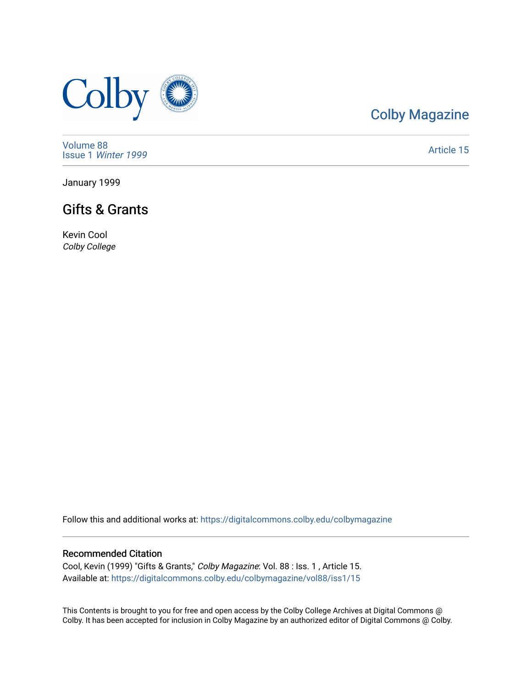

# [Colby Magazine](https://digitalcommons.colby.edu/colbymagazine)

[Volume 88](https://digitalcommons.colby.edu/colbymagazine/vol88) Issue 1 [Winter 1999](https://digitalcommons.colby.edu/colbymagazine/vol88/iss1) 

[Article 15](https://digitalcommons.colby.edu/colbymagazine/vol88/iss1/15) 

January 1999

## Gifts & Grants

Kevin Cool Colby College

Follow this and additional works at: [https://digitalcommons.colby.edu/colbymagazine](https://digitalcommons.colby.edu/colbymagazine?utm_source=digitalcommons.colby.edu%2Fcolbymagazine%2Fvol88%2Fiss1%2F15&utm_medium=PDF&utm_campaign=PDFCoverPages)

### Recommended Citation

Cool, Kevin (1999) "Gifts & Grants," Colby Magazine: Vol. 88 : Iss. 1 , Article 15. Available at: [https://digitalcommons.colby.edu/colbymagazine/vol88/iss1/15](https://digitalcommons.colby.edu/colbymagazine/vol88/iss1/15?utm_source=digitalcommons.colby.edu%2Fcolbymagazine%2Fvol88%2Fiss1%2F15&utm_medium=PDF&utm_campaign=PDFCoverPages) 

This Contents is brought to you for free and open access by the Colby College Archives at Digital Commons @ Colby. It has been accepted for inclusion in Colby Magazine by an authorized editor of Digital Commons @ Colby.